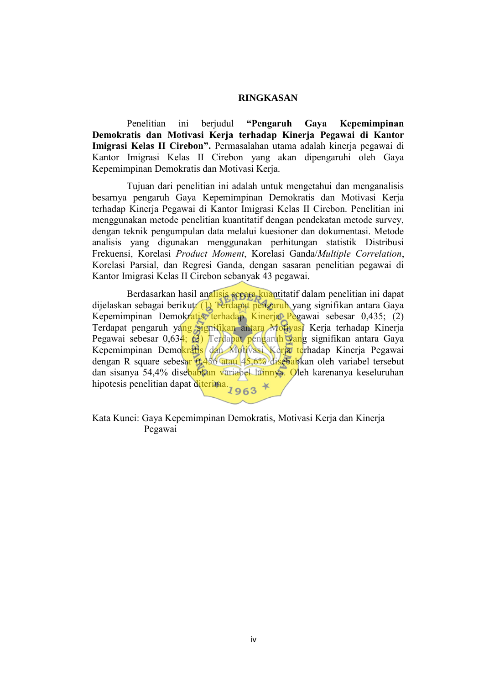## **RINGKASAN**

Penelitian ini berjudul **"Pengaruh Gaya Kepemimpinan Demokratis dan Motivasi Kerja terhadap Kinerja Pegawai di Kantor Imigrasi Kelas II Cirebon".** Permasalahan utama adalah kinerja pegawai di Kantor Imigrasi Kelas II Cirebon yang akan dipengaruhi oleh Gaya Kepemimpinan Demokratis dan Motivasi Kerja.

Tujuan dari penelitian ini adalah untuk mengetahui dan menganalisis besarnya pengaruh Gaya Kepemimpinan Demokratis dan Motivasi Kerja terhadap Kinerja Pegawai di Kantor Imigrasi Kelas II Cirebon. Penelitian ini menggunakan metode penelitian kuantitatif dengan pendekatan metode survey, dengan teknik pengumpulan data melalui kuesioner dan dokumentasi. Metode analisis yang digunakan menggunakan perhitungan statistik Distribusi Frekuensi, Korelasi *Product Moment*, Korelasi Ganda/*Multiple Correlation*, Korelasi Parsial, dan Regresi Ganda, dengan sasaran penelitian pegawai di Kantor Imigrasi Kelas II Cirebon sebanyak 43 pegawai.

Berdasarkan hasil analisis secara kuantitatif dalam penelitian ini dapat dijelaskan sebagai berikut: (1) Terdapat pengaruh yang signifikan antara Gaya Kepemimpinan Demokratis terhadap Kinerja Pegawai sebesar 0,435; (2) Terdapat pengaruh yang signifikan antara Motivasi Kerja terhadap Kinerja Pegawai sebesar 0,634; (3) Terdapat pengaruh yang signifikan antara Gaya Kepemimpinan Demokratis dan Motivasi Kerja terhadap Kinerja Pegawai dengan R square sebesar 0,456 atau 45,6% disebabkan oleh variabel tersebut dan sisanya 54,4% disebabkan variabel lainnya. Oleh karenanya keseluruhan hipotesis penelitian dapat diterima.  $1963$ 

Kata Kunci: Gaya Kepemimpinan Demokratis, Motivasi Kerja dan Kinerja Pegawai